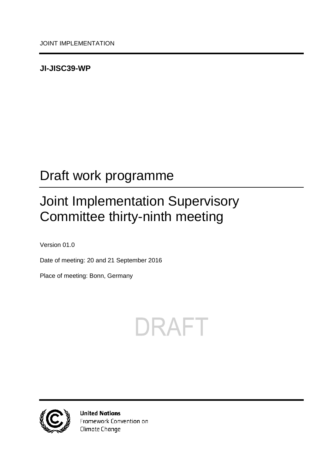### <span id="page-0-0"></span>**JI-JISC39-WP**

## <span id="page-0-1"></span>Draft work programme

## <span id="page-0-2"></span>Joint Implementation Supervisory Committee thirty-ninth meeting

<span id="page-0-3"></span>Version 01.0

Date of meeting: 20 and 21 September 2016

Place of meeting: Bonn, Germany





**United Nations** Framework Convention on Climate Change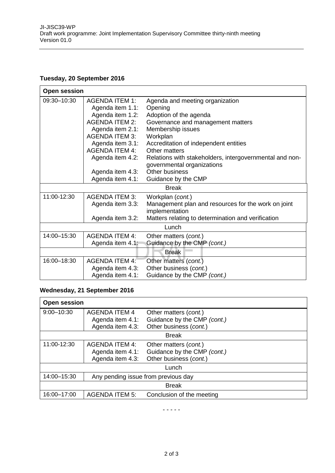#### **Tuesday, 20 September 2016**

| <b>Open session</b> |                       |                                                         |  |  |
|---------------------|-----------------------|---------------------------------------------------------|--|--|
| 09:30-10:30         | <b>AGENDA ITEM 1:</b> | Agenda and meeting organization                         |  |  |
|                     | Agenda item 1.1:      | Opening                                                 |  |  |
|                     | Agenda item 1.2:      | Adoption of the agenda                                  |  |  |
|                     | <b>AGENDA ITEM 2:</b> | Governance and management matters                       |  |  |
|                     | Agenda item 2.1:      | Membership issues                                       |  |  |
|                     | <b>AGENDA ITEM 3:</b> | Workplan                                                |  |  |
|                     | Agenda item 3.1:      | Accreditation of independent entities                   |  |  |
|                     | <b>AGENDA ITEM 4:</b> | Other matters                                           |  |  |
|                     | Agenda item 4.2:      | Relations with stakeholders, intergovernmental and non- |  |  |
|                     |                       | governmental organizations                              |  |  |
|                     | Agenda item 4.3:      | Other business                                          |  |  |
|                     | Agenda item 4.1:      | Guidance by the CMP                                     |  |  |
| <b>Break</b>        |                       |                                                         |  |  |
| 11:00-12:30         | <b>AGENDA ITEM 3:</b> | Workplan (cont.)                                        |  |  |
|                     | Agenda item 3.3:      | Management plan and resources for the work on joint     |  |  |
|                     |                       | implementation                                          |  |  |
|                     | Agenda item 3.2:      | Matters relating to determination and verification      |  |  |
| Lunch               |                       |                                                         |  |  |
| 14:00-15:30         | <b>AGENDA ITEM 4:</b> | Other matters (cont.)                                   |  |  |
|                     | Agenda item 4.1:      | Guidance by the CMP (cont.)                             |  |  |
| <b>Break</b>        |                       |                                                         |  |  |
| 16:00-18:30         | <b>AGENDA ITEM 4:</b> | Other matters (cont.)                                   |  |  |
|                     | Agenda item 4.3:      | Other business (cont.)                                  |  |  |
|                     | Agenda item 4.1:      | Guidance by the CMP (cont.)                             |  |  |

#### **Wednesday, 21 September 2016**

| <b>Open session</b> |                                                               |                                                                                |  |  |
|---------------------|---------------------------------------------------------------|--------------------------------------------------------------------------------|--|--|
| $9:00 - 10:30$      | <b>AGENDA ITEM 4</b><br>Agenda item 4.1:                      | Other matters (cont.)<br>Guidance by the CMP (cont.)                           |  |  |
|                     | Agenda item 4.3:                                              | Other business (cont.)                                                         |  |  |
| <b>Break</b>        |                                                               |                                                                                |  |  |
| 11:00-12:30         | <b>AGENDA ITEM 4:</b><br>Agenda item 4.1:<br>Agenda item 4.3: | Other matters (cont.)<br>Guidance by the CMP (cont.)<br>Other business (cont.) |  |  |
| Lunch               |                                                               |                                                                                |  |  |
| 14:00-15:30         | Any pending issue from previous day                           |                                                                                |  |  |
| <b>Break</b>        |                                                               |                                                                                |  |  |
| 16:00-17:00         | <b>AGENDA ITEM 5:</b>                                         | Conclusion of the meeting                                                      |  |  |

- - - - -